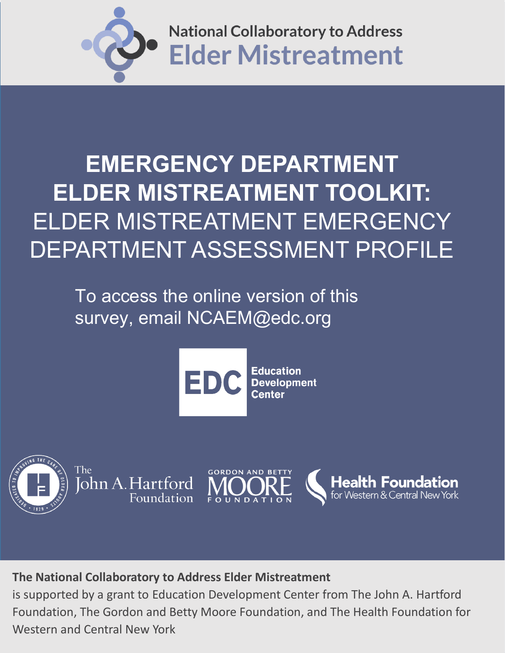

# **EMERGENCY DEPARTMENT ELDER MISTREATMENT TOOLKIT:** ELDER MISTREATMENT EMERGENCY DEPARTMENT ASSESSMENT PROFILE

To access the online version of this survey, email NCAEM@edc.org





The John A. Hartford Foundation



# **The National Collaboratory to Address Elder Mistreatment**

is supported by a grant to Education Development Center from The John A. Hartford Foundation, The Gordon and Betty Moore Foundation, and The Health Foundation for Western and Central New York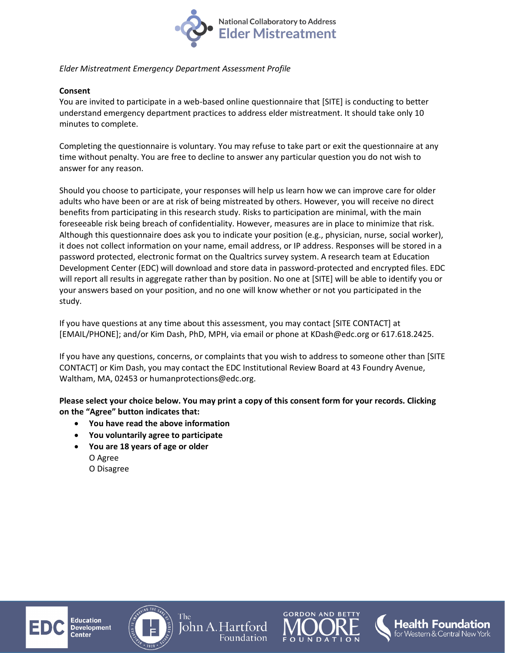

#### *Elder Mistreatment Emergency Department Assessment Profile*

#### **Consent**

You are invited to participate in a web-based online questionnaire that [SITE] is conducting to better understand emergency department practices to address elder mistreatment. It should take only 10 minutes to complete.

Completing the questionnaire is voluntary. You may refuse to take part or exit the questionnaire at any time without penalty. You are free to decline to answer any particular question you do not wish to answer for any reason.

Should you choose to participate, your responses will help us learn how we can improve care for older adults who have been or are at risk of being mistreated by others. However, you will receive no direct benefits from participating in this research study. Risks to participation are minimal, with the main foreseeable risk being breach of confidentiality. However, measures are in place to minimize that risk. Although this questionnaire does ask you to indicate your position (e.g., physician, nurse, social worker), it does not collect information on your name, email address, or IP address. Responses will be stored in a password protected, electronic format on the Qualtrics survey system. A research team at Education Development Center (EDC) will download and store data in password-protected and encrypted files. EDC will report all results in aggregate rather than by position. No one at [SITE] will be able to identify you or your answers based on your position, and no one will know whether or not you participated in the study.

If you have questions at any time about this assessment, you may contact [SITE CONTACT] at [EMAIL/PHONE]; and/or Kim Dash, PhD, MPH, via email or phone at KDash@edc.org or 617.618.2425.

If you have any questions, concerns, or complaints that you wish to address to someone other than [SITE CONTACT] or Kim Dash, you may contact the EDC Institutional Review Board at 43 Foundry Avenue, Waltham, MA, 02453 or humanprotections@edc.org.

**Please select your choice below. You may print a copy of this consent form for your records. Clicking on the "Agree" button indicates that:** 

- **You have read the above information**
- **You voluntarily agree to participate**
- **You are 18 years of age or older** O Agree O Disagree

ducation

**Development** 



The



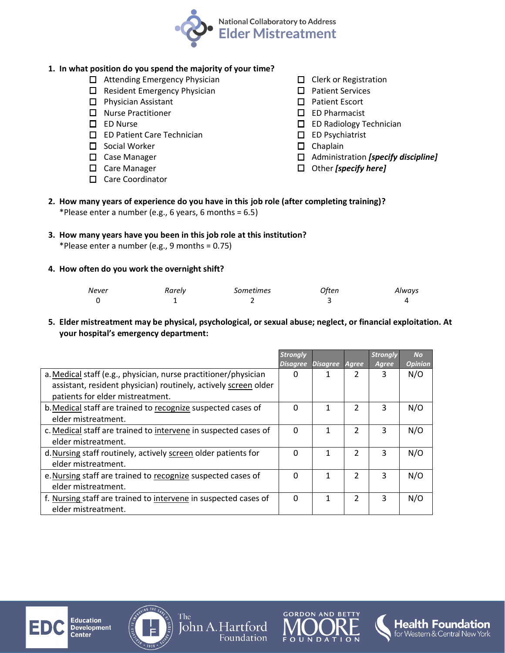

## **1. In what position do you spend the majority of your time?**

- $\Box$  Attending Emergency Physician
- $\Box$  Resident Emergency Physician
- $\Box$  Physician Assistant
- □ Nurse Practitioner
- □ ED Nurse
- □ ED Patient Care Technician
- $\square$  Social Worker
- □ Case Manager
- □ Care Manager
- □ Care Coordinator
- $\Box$  Clerk or Registration
- $\square$  Patient Services
- □ Patient Escort
- ED Pharmacist
- □ ED Radiology Technician
- $\square$  ED Psychiatrist
- $\square$  Chaplain
- Administration *[specify discipline]*
- Other *[specify here]*

**2. How many years of experience do you have in this job role (after completing training)?** \*Please enter a number (e.g., 6 years, 6 months =  $6.5$ )

### **3. How many years have you been in this job role at this institution?**

\*Please enter a number (e.g., 9 months = 0.75)

#### **4. How often do you work the overnight shift?**

| Never | Rarely | Sometimes | Often | Always |
|-------|--------|-----------|-------|--------|
|       |        |           |       |        |

**5. Elder mistreatment may be physical, psychological, or sexual abuse; neglect, or financial exploitation. At your hospital's emergency department:**

|                                                                 | Strongly        |                |    | <b>Strongly</b> | <b>No</b>      |
|-----------------------------------------------------------------|-----------------|----------------|----|-----------------|----------------|
|                                                                 | <b>Disagree</b> | Disagree Agree |    | Agree           | <b>Opinion</b> |
| a. Medical staff (e.g., physician, nurse practitioner/physician | $\Omega$        |                |    | 3               | N/O            |
| assistant, resident physician) routinely, actively screen older |                 |                |    |                 |                |
| patients for elder mistreatment.                                |                 |                |    |                 |                |
| b. Medical staff are trained to recognize suspected cases of    | $\Omega$        | 1              | C. | 3               | N/O            |
| elder mistreatment.                                             |                 |                |    |                 |                |
| c. Medical staff are trained to intervene in suspected cases of | $\Omega$        | 1              | 2  | 3               | N/O            |
| elder mistreatment.                                             |                 |                |    |                 |                |
| d. Nursing staff routinely, actively screen older patients for  | $\Omega$        | 1              | 2  | ξ               | N/O            |
| elder mistreatment.                                             |                 |                |    |                 |                |
| e. Nursing staff are trained to recognize suspected cases of    | $\Omega$        | 1              | 2  | ੨               | N/O            |
| elder mistreatment.                                             |                 |                |    |                 |                |
| f. Nursing staff are trained to intervene in suspected cases of | $\Omega$        | 1              | 2  | 3               | N/O            |
| elder mistreatment.                                             |                 |                |    |                 |                |





The

John A. Hartford

Foundation



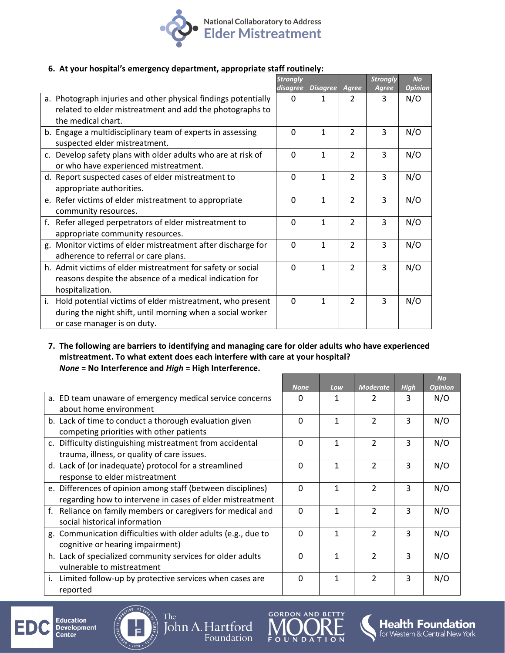

#### **6. At your hospital's emergency department, appropriate staff routinely:**

|    |                                                                | <b>Strongly</b> |                 |                | <b>Strongly</b> | <b>No</b>      |
|----|----------------------------------------------------------------|-----------------|-----------------|----------------|-----------------|----------------|
|    |                                                                | disagree        | <b>Disagree</b> | Agree          | Agree           | <b>Opinion</b> |
|    | a. Photograph injuries and other physical findings potentially | 0               | 1.              | 2              | 3               | N/O            |
|    | related to elder mistreatment and add the photographs to       |                 |                 |                |                 |                |
|    | the medical chart.                                             |                 |                 |                |                 |                |
|    | b. Engage a multidisciplinary team of experts in assessing     | 0               | $\mathbf{1}$    | $\mathfrak{p}$ | 3               | N/O            |
|    | suspected elder mistreatment.                                  |                 |                 |                |                 |                |
|    | c. Develop safety plans with older adults who are at risk of   | 0               | $\mathbf{1}$    | $\overline{2}$ | 3               | N/O            |
|    | or who have experienced mistreatment.                          |                 |                 |                |                 |                |
|    | d. Report suspected cases of elder mistreatment to             | $\Omega$        | $\mathbf{1}$    | 2              | 3               | N/O            |
|    | appropriate authorities.                                       |                 |                 |                |                 |                |
|    | e. Refer victims of elder mistreatment to appropriate          | 0               | $\mathbf{1}$    | $\mathfrak{p}$ | 3               | N/O            |
|    | community resources.                                           |                 |                 |                |                 |                |
| f. | Refer alleged perpetrators of elder mistreatment to            | $\Omega$        | $\mathbf{1}$    | $\overline{2}$ | $\overline{3}$  | N/O            |
|    | appropriate community resources.                               |                 |                 |                |                 |                |
|    | g. Monitor victims of elder mistreatment after discharge for   | $\Omega$        | $\mathbf{1}$    | $\mathfrak{p}$ | 3               | N/O            |
|    | adherence to referral or care plans.                           |                 |                 |                |                 |                |
|    | h. Admit victims of elder mistreatment for safety or social    | 0               | $\mathbf{1}$    | $\mathfrak{p}$ | 3               | N/O            |
|    | reasons despite the absence of a medical indication for        |                 |                 |                |                 |                |
|    | hospitalization.                                               |                 |                 |                |                 |                |
| i. | Hold potential victims of elder mistreatment, who present      | 0               | $\mathbf{1}$    | 2              | 3               | N/O            |
|    | during the night shift, until morning when a social worker     |                 |                 |                |                 |                |
|    | or case manager is on duty.                                    |                 |                 |                |                 |                |

#### **7. The following are barriers to identifying and managing care for older adults who have experienced mistreatment. To what extent does each interfere with care at your hospital?** *None* **= No Interference and** *High* **= High Interference.**

|                                                                |              |     |                 |             | <b>No</b>      |
|----------------------------------------------------------------|--------------|-----|-----------------|-------------|----------------|
|                                                                | <b>None</b>  | Low | <b>Moderate</b> | <b>High</b> | <b>Opinion</b> |
| a. ED team unaware of emergency medical service concerns       | <sup>0</sup> | 1   | 2               | 3           | N/O            |
| about home environment                                         |              |     |                 |             |                |
| b. Lack of time to conduct a thorough evaluation given         | $\Omega$     | 1   | $\mathfrak{p}$  | 3           | N/O            |
| competing priorities with other patients                       |              |     |                 |             |                |
| c. Difficulty distinguishing mistreatment from accidental      | $\Omega$     | 1   | $\mathfrak{D}$  | 3           | N/O            |
| trauma, illness, or quality of care issues.                    |              |     |                 |             |                |
| d. Lack of (or inadequate) protocol for a streamlined          | $\Omega$     | 1   | $\mathfrak{p}$  | 3           | N/O            |
| response to elder mistreatment                                 |              |     |                 |             |                |
| e. Differences of opinion among staff (between disciplines)    | $\Omega$     | 1   | $\mathfrak{p}$  | 3           | N/O            |
| regarding how to intervene in cases of elder mistreatment      |              |     |                 |             |                |
| Reliance on family members or caregivers for medical and<br>f. | $\Omega$     | 1   | $\mathcal{P}$   | 3           | N/O            |
| social historical information                                  |              |     |                 |             |                |
| g. Communication difficulties with older adults (e.g., due to  | $\Omega$     | 1   | $\mathcal{P}$   | 3           | N/O            |
| cognitive or hearing impairment)                               |              |     |                 |             |                |
| h. Lack of specialized community services for older adults     | $\Omega$     | 1   | $\mathfrak{p}$  | 3           | N/O            |
| vulnerable to mistreatment                                     |              |     |                 |             |                |
| Limited follow-up by protective services when cases are<br>i.  | $\Omega$     | 1   | $\mathcal{P}$   | 3           | N/O            |
| reported                                                       |              |     |                 |             |                |

**Education** ED Development<br>Center



The

John A. Hartford

Foundation



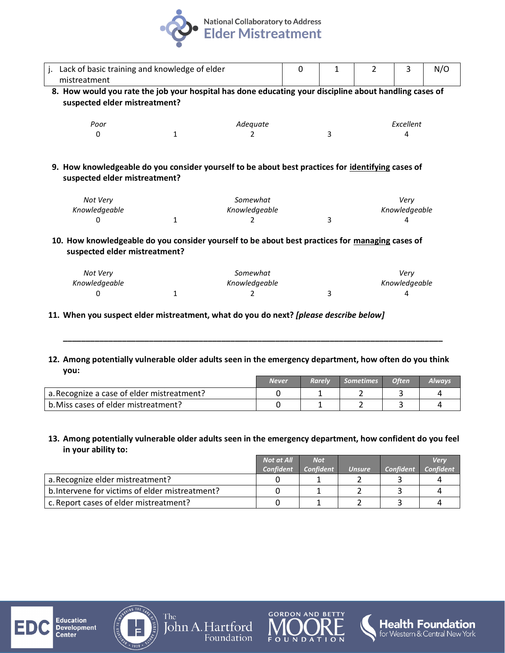

| j. Lack of basic training and knowledge of elder                                                       |  |          | 0 |  |  |                  | N/O |  |  |  |
|--------------------------------------------------------------------------------------------------------|--|----------|---|--|--|------------------|-----|--|--|--|
| mistreatment                                                                                           |  |          |   |  |  |                  |     |  |  |  |
| 8. How would you rate the job your hospital has done educating your discipline about handling cases of |  |          |   |  |  |                  |     |  |  |  |
| suspected elder mistreatment?                                                                          |  |          |   |  |  |                  |     |  |  |  |
|                                                                                                        |  |          |   |  |  |                  |     |  |  |  |
| Poor                                                                                                   |  | Adequate |   |  |  | <b>Fxcellent</b> |     |  |  |  |
| 0                                                                                                      |  |          |   |  |  | 4                |     |  |  |  |
|                                                                                                        |  |          |   |  |  |                  |     |  |  |  |
|                                                                                                        |  |          |   |  |  |                  |     |  |  |  |

**9. How knowledgeable do you consider yourself to be about best practices for identifying cases of suspected elder mistreatment?** 

| Not Very      | Somewhat      | Verv          |
|---------------|---------------|---------------|
| Knowledgeable | Knowledgeable | Knowledgeable |
|               |               |               |

**10. How knowledgeable do you consider yourself to be about best practices for managing cases of suspected elder mistreatment?** 

| Not Verv      | Somewhat      | Verv          |
|---------------|---------------|---------------|
| Knowledgeable | Knowledgeable | Knowledgeable |
|               |               |               |

- **11. When you suspect elder mistreatment, what do you do next?** *[please describe below]*
- **12. Among potentially vulnerable older adults seen in the emergency department, how often do you think you:**

**\_\_\_\_\_\_\_\_\_\_\_\_\_\_\_\_\_\_\_\_\_\_\_\_\_\_\_\_\_\_\_\_\_\_\_\_\_\_\_\_\_\_\_\_\_\_\_\_\_\_\_\_\_\_\_\_\_\_\_\_\_\_\_\_\_\_\_\_\_\_\_\_\_\_\_\_\_\_\_\_\_\_\_\_**

|                                            | <b>Never</b> | <b>Rarely</b> | Sometimes | <b>Often</b> | Alwavs |
|--------------------------------------------|--------------|---------------|-----------|--------------|--------|
| a. Recognize a case of elder mistreatment? |              |               |           |              |        |
| b. Miss cases of elder mistreatment?       |              |               |           |              |        |

#### **13. Among potentially vulnerable older adults seen in the emergency department, how confident do you feel in your ability to:**

|                                                 | <b>Not at All</b> | <b>Not</b>       |               |                  | <b>Verv</b>      |
|-------------------------------------------------|-------------------|------------------|---------------|------------------|------------------|
|                                                 | <b>Confident</b>  | <b>Confident</b> | <b>Unsure</b> | <b>Confident</b> | <b>Confident</b> |
| a. Recognize elder mistreatment?                |                   |                  |               |                  |                  |
| b. Intervene for victims of elder mistreatment? |                   |                  |               |                  |                  |
| c. Report cases of elder mistreatment?          |                   |                  |               |                  |                  |





The John A. Hartford Foundation



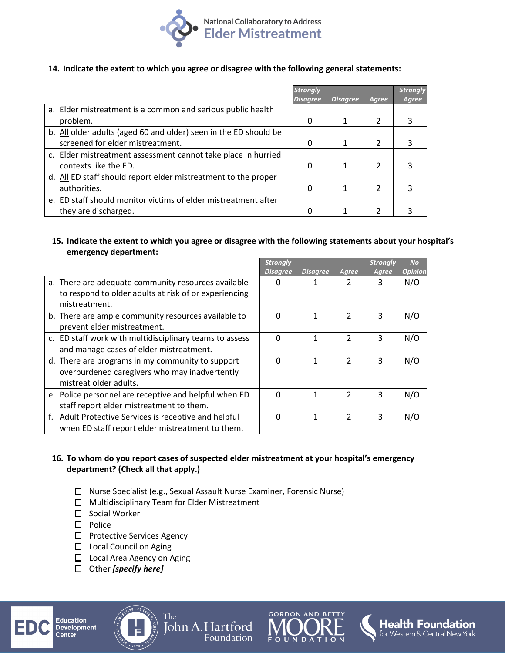

#### **14. Indicate the extent to which you agree or disagree with the following general statements:**

|                                                                  | <b>Strongly</b> |                 |       | <b>Strongly</b> |
|------------------------------------------------------------------|-----------------|-----------------|-------|-----------------|
|                                                                  | <b>Disagree</b> | <b>Disagree</b> | Agree | Agree           |
| a. Elder mistreatment is a common and serious public health      |                 |                 |       |                 |
| problem.                                                         | 0               | 1               |       | 3               |
| b. All older adults (aged 60 and older) seen in the ED should be |                 |                 |       |                 |
| screened for elder mistreatment.                                 | 0               | 1               |       |                 |
| c. Elder mistreatment assessment cannot take place in hurried    |                 |                 |       |                 |
| contexts like the ED.                                            | 0               | 1               |       |                 |
| d. All ED staff should report elder mistreatment to the proper   |                 |                 |       |                 |
| authorities.                                                     | 0               | 1               |       |                 |
| e. ED staff should monitor victims of elder mistreatment after   |                 |                 |       |                 |
| they are discharged.                                             |                 |                 |       |                 |

#### **15. Indicate the extent to which you agree or disagree with the following statements about your hospital's emergency department:**

|                                                                                    | <b>Strongly</b><br><b>Disagree</b> | <b>Disagree</b> | Agree          | <b>Strongly</b><br>Agree | <b>No</b><br><b>Opinion</b> |
|------------------------------------------------------------------------------------|------------------------------------|-----------------|----------------|--------------------------|-----------------------------|
| a. There are adequate community resources available                                | o                                  |                 | 2              | 3                        | N/O                         |
| to respond to older adults at risk of or experiencing<br>mistreatment.             |                                    |                 |                |                          |                             |
| b. There are ample community resources available to<br>prevent elder mistreatment. | $\Omega$                           | 1               | $\mathfrak{p}$ | ς                        | N/O                         |
| c. ED staff work with multidisciplinary teams to assess                            | $\Omega$                           |                 | 2              | 3                        | N/O                         |
| and manage cases of elder mistreatment.                                            |                                    |                 |                |                          |                             |
| d. There are programs in my community to support                                   | $\Omega$                           |                 | $\mathfrak{p}$ | 3                        | N/O                         |
| overburdened caregivers who may inadvertently                                      |                                    |                 |                |                          |                             |
| mistreat older adults.                                                             |                                    |                 |                |                          |                             |
| e. Police personnel are receptive and helpful when ED                              | $\Omega$                           |                 | 2              | 3                        | N/O                         |
| staff report elder mistreatment to them.                                           |                                    |                 |                |                          |                             |
| f. Adult Protective Services is receptive and helpful                              | $\Omega$                           |                 | $\mathfrak{p}$ | 3                        | N/O                         |
| when ED staff report elder mistreatment to them.                                   |                                    |                 |                |                          |                             |

#### **16. To whom do you report cases of suspected elder mistreatment at your hospital's emergency department? (Check all that apply.)**

Nurse Specialist (e.g., Sexual Assault Nurse Examiner, Forensic Nurse)

John A. Hartford

Foundation

 $\Box$  Multidisciplinary Team for Elder Mistreatment

The

- $\Box$  Social Worker
- $\Box$  Police
- □ Protective Services Agency
- □ Local Council on Aging
- □ Local Area Agency on Aging
- Other *[specify here]*

**Education Development** Center